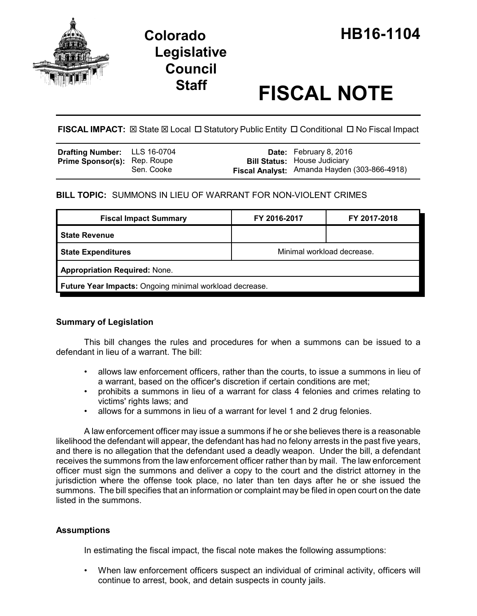

# **Legislative Council**

# **Staff FISCAL NOTE**

**FISCAL IMPACT:** ⊠ State ⊠ Local □ Statutory Public Entity □ Conditional □ No Fiscal Impact

| <b>Drafting Number:</b> LLS 16-0704 |            | <b>Date:</b> February 8, 2016                |
|-------------------------------------|------------|----------------------------------------------|
| <b>Prime Sponsor(s): Rep. Roupe</b> |            | <b>Bill Status: House Judiciary</b>          |
|                                     | Sen. Cooke | Fiscal Analyst: Amanda Hayden (303-866-4918) |

# **BILL TOPIC:** SUMMONS IN LIEU OF WARRANT FOR NON-VIOLENT CRIMES

| <b>Fiscal Impact Summary</b>                            | FY 2016-2017               | FY 2017-2018 |  |  |  |
|---------------------------------------------------------|----------------------------|--------------|--|--|--|
| <b>State Revenue</b>                                    |                            |              |  |  |  |
| <b>State Expenditures</b>                               | Minimal workload decrease. |              |  |  |  |
| <b>Appropriation Required: None.</b>                    |                            |              |  |  |  |
| Future Year Impacts: Ongoing minimal workload decrease. |                            |              |  |  |  |

# **Summary of Legislation**

This bill changes the rules and procedures for when a summons can be issued to a defendant in lieu of a warrant. The bill:

- allows law enforcement officers, rather than the courts, to issue a summons in lieu of a warrant, based on the officer's discretion if certain conditions are met;
- prohibits a summons in lieu of a warrant for class 4 felonies and crimes relating to victims' rights laws; and
- allows for a summons in lieu of a warrant for level 1 and 2 drug felonies.

A law enforcement officer may issue a summons if he or she believes there is a reasonable likelihood the defendant will appear, the defendant has had no felony arrests in the past five years, and there is no allegation that the defendant used a deadly weapon. Under the bill, a defendant receives the summons from the law enforcement officer rather than by mail. The law enforcement officer must sign the summons and deliver a copy to the court and the district attorney in the jurisdiction where the offense took place, no later than ten days after he or she issued the summons. The bill specifies that an information or complaint may be filed in open court on the date listed in the summons.

# **Assumptions**

In estimating the fiscal impact, the fiscal note makes the following assumptions:

• When law enforcement officers suspect an individual of criminal activity, officers will continue to arrest, book, and detain suspects in county jails.